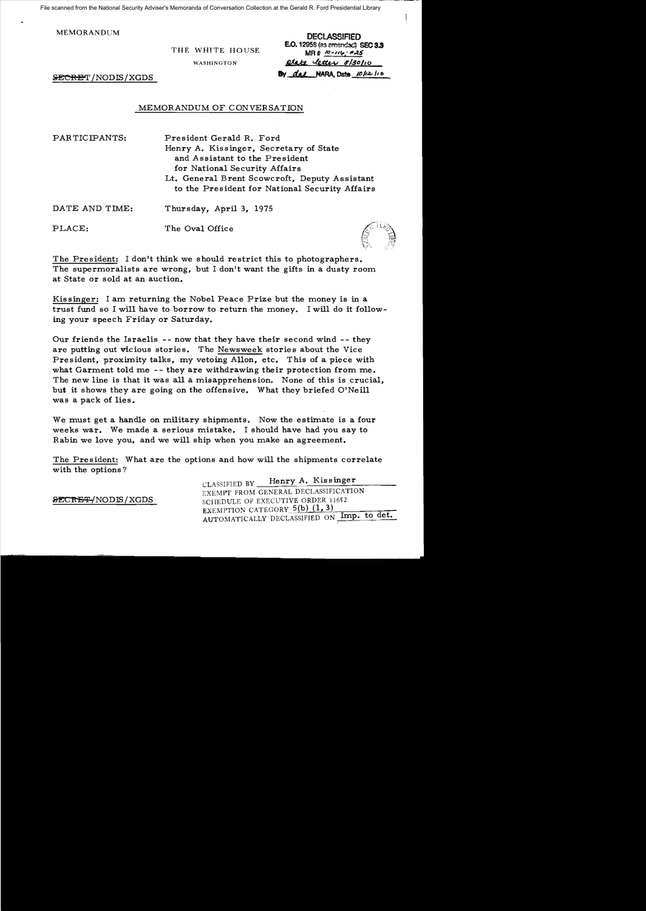File scanned from the National Security Adviser's Memoranda of Conversation Collection at the Gerald R. Ford Presidential Library

MEMORANDUM DECLASSIFIED

THE WHITE HOUSE

**E.O.** 12958 (as emendsd) SEC 3.3<br>MR #  $\frac{10-116}{5}$  #45 WASHINGTON **Ptate letter 8/30/10** 

SECRET / NODIS/XGDS

### MEMORANDUM OF CONVERSATION

PAR TICIPANTS: President Gerald R. Ford Henry A. Kissinger, Secretary of State and Assistant to the President for National Security Affairs Lt. General Brent Scowcroft, Deputy Assistant to the President for National Security Affairs DATE AND TIME: Thursday, April 3, 1975 PLACE: The Oval Office

The President: I don't think we should restrict this to photographers. The supermoralists are wrong, but I don't want the gifts in a dusty room at State or sold at an auction.

Kissinger: I am returning the Nobel Peace Prize but the money is in a trust fund so I will have to borrow to return the money. I will do it following your speech Friday or Saturday.

Our friends the Israelis - - now that they have their second wind - - they are putting out vicious stories. The Newsweek stories about the Vice President, proximity talks, my vetoing Allon, etc. This of a piece with what Garment told me -- they are withdrawing their protection from me. The new line is that it was all a misapprehension. None of this is crucial, but it shows they are going on the offensive. What they briefed O'Neill was a pack of lies.

We must get a handle on military shipments. Now the estimate is a four weeks war. We made a serious mistake. I should have had you say to Rabin we love you, and we will ship when you make an agreement.

The President: What are the options and how will the shipments correlate with the options?

CLASSIFIED BY Henry A. Kissinger EXEMPT FROM GENERAL DECLASSIFICATION SECRET/NODIS/XGDS SCHEDULE OF EXECUTIVE ORDER 11652 EXEMPTION CATEGORY  $5(b)$  (1, 3) AUTOMATICALLY DECLASSIFIED ON Imp. to det.

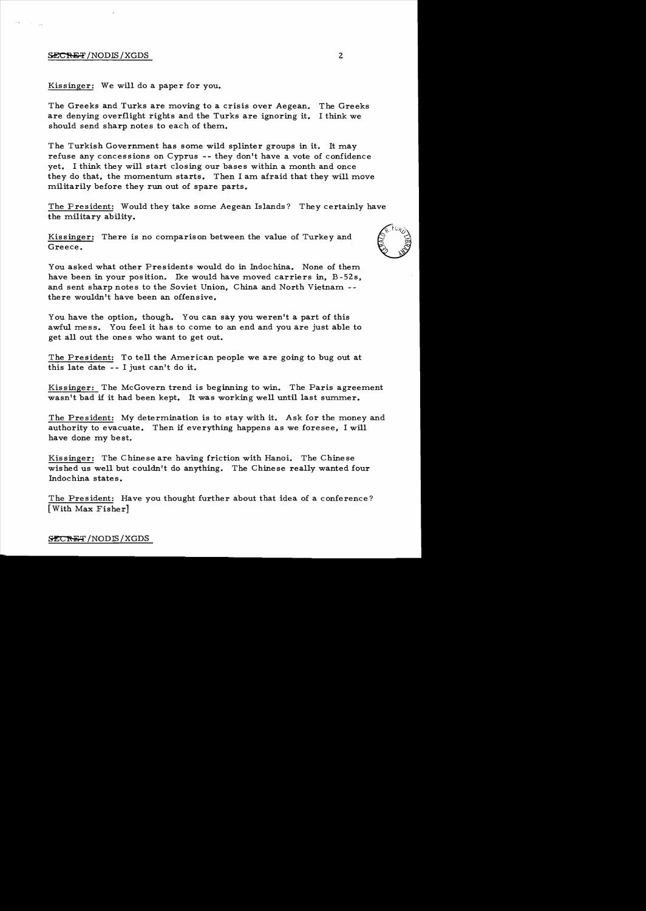#### ${SECHF}/{NODIS}/{XGDS}$  2

Kissinger: We will do a paper for you.

The Greeks and Turks are moving to a crisis over Aegean. The Greeks are denying overflight rights and the Turks are ignoring it. I think we should send sharp notes to each of them.

The Turkish Government has some wild splinter groups in it. It may refuse any concessions on Cyprus -- they don't have a vote of confidence yet. I think they will start closing our bases within a month and once they do that, the momentum starts. Then I am afraid that they will move militarily before they run out of spare parts.

The President: Would they take some Aegean Islands? They certainly have the military ability.

Kissinger: There is no comparison between the value of Turkey and The military ability.<br>
Kissinger: There is no comparison between the value of Turkey and<br>
Greece.<br>
You asked what other Presidents would do in Indochina. None of them

You asked what other Presidents would do in Indochina. None of them have been in your position. Ike would have moved carriers in, B-52s, and sent sharp notes to the Soviet Union, China and North Vietnam there wouldn't have been an offensive.

You have the option, though. You can say you weren't a part of this awful mess. You feel it has to come to an end and you are just able to get all out the ones who want to get out.

The President: To tell the American people we are going to bug out at this late date - - I just can't do it.

Kissinger: The McGovern trend is beginning to win. The Paris agreement wasn't bad if it had been kept. It was working well until last summer.

The President: My determination is to stay with it. Ask for the money and authority to evacuate. Then if everything happens as we foresee, I will have done my best.

Kissinger: The Chinese are having friction with Hanoi. The Chinese wished us well but couldn't do anything. The Chinese really wanted four Indochina states.

The President: Have you thought further about that idea of a conference? [With Max Fisher]

#### SECRET / NODIS / XGDS